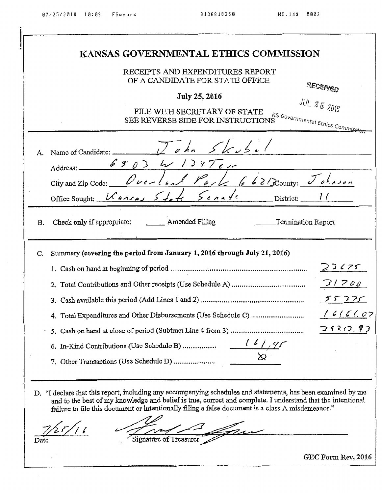|             | RECEIPTS AND EXPENDITURES REPORT<br>OF A CANDIDATE FOR STATE OFFICE<br>RECEIVED<br>July 25, 2016<br><b>JUL 25 2016</b><br>FILE WITH SECRETARY OF STATE<br>KS Governmental Etnics Commissi<br>SEE REVERSE SIDE FOR INSTRUCTIONS                                                                                                                                     |
|-------------|--------------------------------------------------------------------------------------------------------------------------------------------------------------------------------------------------------------------------------------------------------------------------------------------------------------------------------------------------------------------|
| А.          | Address: 6503 W 134700<br>City and Zip Codo: Overland Park 662 Dounty: Johnson<br>Office Sought: $\mathcal{K}_{\text{aux}}$ $\mathcal{S}_{\text{test}}$ $\mathcal{S}_{\text{test}}$ $\mathcal{S}_{\text{test}}$ District:                                                                                                                                          |
| В.          | Check only if appropriate: ________ Amended Filing ________________Termination Report                                                                                                                                                                                                                                                                              |
| $C_{\cdot}$ | Summary (covering the period from January 1, 2016 through July 21, 2016)<br>23675<br>ケメ コマン<br>16161.07<br>つもこい。<br>6. In-Kind Contributions (Use Schedule B)<br>7. Other Transactions (Use Schedule D)                                                                                                                                                            |
|             | D. "I declare that this report, including any accompanying schedules and statements, has been examined by me<br>and to the best of my knowledge and belief is true, correct and complete. I understand that the intentional<br>failure to file this document or intentionally filing a false document is a class $\Lambda$ misdemeanor."<br>Signature of Treasurer |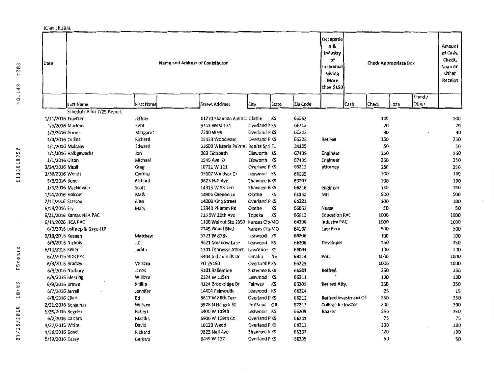| JOHN SKUBAL        |                             |                                 |                                        |                     |       |                 |                                                                                  |                       |       |                                                  |                                                             |
|--------------------|-----------------------------|---------------------------------|----------------------------------------|---------------------|-------|-----------------|----------------------------------------------------------------------------------|-----------------------|-------|--------------------------------------------------|-------------------------------------------------------------|
| Date               |                             | Name and Address of Contributor |                                        |                     |       |                 | Occupatio<br>n &<br>Industry<br>of<br>Individual<br>Giving<br>More<br>than \$150 |                       |       | Check Appropriate Box<br>Efund/<br>Other<br>Loan | Amount<br>of Cash,<br>Check,<br>Loan or<br>Other<br>Receipt |
|                    | Last Name                   | <b>First Name</b>               | <b>Street Address</b>                  | City                | State | <b>Zip Ccde</b> |                                                                                  | Cash                  | Check |                                                  |                                                             |
|                    | Schedule A for 7/25 Report  |                                 |                                        |                     |       |                 |                                                                                  |                       |       |                                                  |                                                             |
| 1/11/2016 Frantzen |                             | Jeffrey                         | 11770 Shannan Apt 31. Olathe           |                     | KS    | 66062           |                                                                                  |                       | 100   |                                                  | 100                                                         |
| 1/5/2016 Martens   |                             | Kent                            | 9112 West 131                          | <b>Overland PKS</b> |       | 66213           |                                                                                  |                       | 20    |                                                  | 20                                                          |
| 1/3/2016 Armor     |                             | Margare:                        | 7210W99                                | <b>Overland PKS</b> |       | 66212           |                                                                                  |                       | 30    |                                                  | 30                                                          |
| 1/4/2016 Collins   |                             | Richard                         | 15423 Woodward                         | Overland PKS        |       | 66223           | Retiree                                                                          |                       | 250   |                                                  | 250                                                         |
| 1/1/2016 Mulcahy   |                             | Edward                          | 23600 Wisteria Pointe I Bonita Spri FL |                     |       | 34135           |                                                                                  |                       | 50    |                                                  | 50                                                          |
|                    | 1/1/2016 Halbgewachs        | Jon                             | 903 Elizabeth                          | Elisworth KS        |       | 67439           | Engineer                                                                         |                       | 250   |                                                  | 250                                                         |
| 1/1/2016 Olson     |                             | Michael                         | 1545 Ave. O                            | Elisworth KS        |       | 67439           | Engineer                                                                         |                       | 250   |                                                  | 250                                                         |
| 3/24/2016 Musil    |                             | Greg                            | 10721 W 121                            | Overland PKS        |       | 66213           | attorney                                                                         |                       | 250   |                                                  | 250                                                         |
| 3/30/2016 Wendt    |                             | Cynthia                         | 13007 Windsor Cr                       | Leawood KS          |       | 66209           |                                                                                  |                       | 100   |                                                  | 100                                                         |
| 5/3/2016 Bond      |                             | Richard                         | 9823 Nall Ave                          | Shawnee NKS         |       | 66207           |                                                                                  |                       | 100   |                                                  | 100                                                         |
|                    | 1/6/2016 Mackiewicz         | Scott                           | 14315 W 58 Terr                        | Shawnee NKS         |       | 66216           | engineer                                                                         |                       | 150   |                                                  | 150                                                         |
| 1/14/2016 Holcom   |                             | Mark                            | 14905 Caenen Ln                        | Olathe              | KS    | 66062           | <b>MD</b>                                                                        |                       | 500   |                                                  | 500                                                         |
| 2/10/2016 Stetson  |                             | A'an                            | 14209 King Street                      | Overland PKS        |       | 66221           |                                                                                  |                       | 100   |                                                  | 100                                                         |
| 6/18/2016 Fry      |                             | Mary                            | 12340 Pflumm Rd                        | Olathe              | KS    | 66062           | Nurse                                                                            |                       | 50    |                                                  | 50                                                          |
|                    | 6/21/2016 Kansas NEA PAC    |                                 | 715 SW 1Cth Ave                        | Topeka              | KS    | 66612           | <b>Education PAC</b>                                                             |                       | 1000  |                                                  | 1000                                                        |
| 6/14/2026 HCA PAC  |                             |                                 | 1100 Walnut Ste 2950 Kansas City MO    |                     |       | 64106           | <b>Industry PAC</b>                                                              |                       | 1000  |                                                  | 1000                                                        |
|                    | 6/9/2016 Lathrop & Gage LLP |                                 | 2345 Grand Blvd                        | Kansas City MO      |       | 64108           | Law Firm                                                                         |                       | 500   |                                                  | 500                                                         |
| 6/18/2016 Keenan   |                             | Matthew                         | 3721 W 87th                            | Leawood KS          |       | 66206           |                                                                                  |                       | 100   |                                                  | 100                                                         |
| 6/9/2016 Nichols   |                             | J.C.                            | 9621 Meadow Lane                       | Leawood KS          |       | 66206           | Developer                                                                        |                       | 250   |                                                  | 250                                                         |
| 6/10/2016 Keller   |                             | Judith                          | 1701 Tennesse Street                   | Lawrence KS         |       | 66044           |                                                                                  |                       | 100   |                                                  | 100                                                         |
| 6/7/2016 HDR PAC   |                             |                                 | 8404 Indian Hills Dr                   | Omaha               | NE    | 68114           | PAC                                                                              |                       | 1000  |                                                  | 1000                                                        |
| 6/3/2016 Bradley   |                             | William                         | PO 25190                               | Overland PKS        |       | 66225           |                                                                                  |                       | 1000  |                                                  | 1000                                                        |
| 6/3/2016 Norbury   |                             | Janes                           | 5101 Ballentine                        | Shawnee NKS         |       | 66203           | Retired                                                                          |                       | 250   |                                                  | 250                                                         |
| 6/9/2016 Blessing  |                             | William                         | 2124 W 115th                           | Leawood KS          |       | 66211           |                                                                                  |                       | 100   |                                                  | 10D                                                         |
| 6/9/2016 Brown     |                             | Phillip                         | 4124 Brookridge Dr                     | Fairway             | KS    | 66205           | Retired Atty.                                                                    |                       | 250   |                                                  | 250                                                         |
| 6/7/2016 Jarrell   |                             | Jennifer                        | 14404 Falmouth                         | Leawood KS          |       | 66224           |                                                                                  |                       | 25    |                                                  | 25                                                          |
| 6/8/2016 Eilerl    |                             | Ed                              | 8617 W 88th Terr                       | Overland PKS        |       | 66212           |                                                                                  | Retired Investment Of | 250   |                                                  | 250                                                         |
| 2/21/2016 Benjamin |                             | William                         | 3528 N Halleck St                      | Portland OR         |       | 97217           | College Instructor                                                               |                       | 200   |                                                  | 200                                                         |
| 5/25/2016 Regnier  |                             | Robert                          | 3400 W 119th                           | Leawood KS          |       | 66209           | Banker                                                                           |                       | 250   |                                                  | 250                                                         |
| 6/2/2016 Calcara   |                             | Martha                          | 6900 W 129th Ct                        | Overland PKS        |       | <b>662D9</b>    |                                                                                  |                       | 75    |                                                  | 75                                                          |
| 4/22/2016 White    |                             | David                           | 10123 Wedd                             | Overland PKS        |       | 66212           |                                                                                  |                       | 100   |                                                  | 100                                                         |
| 4/26/2016 Bond     |                             | Richard                         | 9823 Nall Ave                          | Shawnee NKS         |       | <b>662D7</b>    |                                                                                  |                       | 100   |                                                  | 10D                                                         |
| 5/19/2016 Casey    |                             | Barbara                         | 6449 W 127                             | Overland PKS        |       | 66209           |                                                                                  |                       | 50    |                                                  | 50                                                          |
|                    |                             |                                 |                                        |                     |       |                 |                                                                                  |                       |       |                                                  |                                                             |

 $\sim$ 

 $\epsilon$ 

HO.149 #003

9136818250

 $\cdot$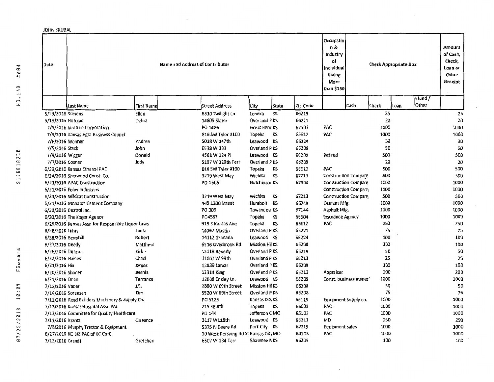| JOHN SKUBAL       |                                                   |                |                                       |                      |       |          |                                                                                 |                             |                              |     |                 |                                                             |
|-------------------|---------------------------------------------------|----------------|---------------------------------------|----------------------|-------|----------|---------------------------------------------------------------------------------|-----------------------------|------------------------------|-----|-----------------|-------------------------------------------------------------|
| Date              |                                                   |                | Name and Address of Contributor       |                      |       |          | Occupatio<br>Π&<br>Industry<br>٥f<br>Individual<br>Giving<br>More<br>than \$150 |                             | <b>Check Appropriate Box</b> |     | Efund/<br>Other | Amount<br>of Cash,<br>Check,<br>Loan or<br>Other<br>Receipt |
|                   | Last Name                                         | First Name     | Street Address                        | City                 | State | Zip Code |                                                                                 | Cash                        | Check                        | oan |                 |                                                             |
| 5/19/2016 Stevens |                                                   | Ellen          | 8510 Twilight Ln                      | Lenexa               | КS    | 66219    |                                                                                 |                             | 25                           |     |                 | 25                                                          |
| 5/19/2016 Hotujac |                                                   | Debra          | 14805 Slater                          | Overland PKS         |       | 66221    |                                                                                 |                             | 20                           |     |                 | 20                                                          |
|                   | 7/5/2016 Venture Corporation                      |                | PO 1486                               | Great Benc KS        |       | 67503    | PAC                                                                             |                             | 1000                         |     |                 | 1000                                                        |
|                   | 7/5/2016 Kansas Agra Business Counci              |                | 816 SW Tyler #100                     | Topeka               | KS    | 66612    | <b>PAC</b>                                                                      |                             | 1000                         |     |                 | 1000                                                        |
|                   | 7/6/2016 Wehner                                   | Andrea         | 5018 W 147th                          | Leawood KS           |       | 66224    |                                                                                 |                             | 30                           |     |                 | 30                                                          |
| 7/5/2016 Stack    |                                                   | John           | 6538W 133                             | Overland PKS         |       | 66209    |                                                                                 |                             | 50                           |     |                 | 50                                                          |
|                   | 7/9/2016 Wigger                                   | Donald         | 4581 W 124 PI                         | Leawood KS           |       | 66209    | Retired                                                                         |                             | 500                          |     |                 | 500                                                         |
| 7/7/2016 Cosner   |                                                   | Judy           | 5107 W 120th Terr                     | Overland PKS         |       | 66209    |                                                                                 |                             | 20                           |     |                 | 20                                                          |
|                   | 6/29/2016 Kansas Ethanol PAC                      |                | 816 SW Tyler #100                     | Topeka               | KS    | 66612    | PAC                                                                             |                             | 500                          |     |                 | 500                                                         |
|                   | 6/24/2016 Sherwaod Const. Co.                     |                | 3219 West May                         | Wichita              | KS    | 67213    |                                                                                 | Construction Company        | 500                          |     |                 | 500                                                         |
|                   | 6/21/2016 APAC Construction                       |                | PO 16C5                               | <b>Hutchinsor KS</b> |       | 67504    |                                                                                 | <b>Construction Company</b> | 1000                         |     |                 | 1000                                                        |
|                   | 6/21/2016 Foley Industries                        |                |                                       |                      |       |          |                                                                                 | Construction Company        | 1000                         |     |                 | 1000                                                        |
|                   | 6/24/2016 Wildcat Construction                    |                | 3219 West May                         | Wichita              | ΚS    | 67213    |                                                                                 | Construction Company        | 500                          |     |                 | 500                                                         |
|                   | 6/21/2016 Monarch Cement Company                  |                | 449 1200 Street                       | Humbolt              | ΚS    | 66748    | Cement Mfg.                                                                     |                             | 1000                         |     |                 | 1000                                                        |
|                   | 6/20/2016 Dustrol Inc.                            |                | PO 309                                | Towandoa KS          |       | 67144    | Asphalt Mfg.                                                                    |                             | 1000                         |     |                 | 1000                                                        |
|                   | 6/20/2016 The Koger Agency                        |                | P04587                                | Topeka               | KS    | 66604    | Insurance Agency                                                                |                             | 1000                         |     |                 | 1000                                                        |
|                   | 6/29/2016 Kansas Assn for Responsible Liquor Laws |                | 919 S Kansas Ave                      | Topeka               | ΚS    | 66612    | PAC                                                                             |                             | 250                          |     |                 | 250                                                         |
| 6/28/2016 Luhrs   |                                                   | Linda          | 14067 Mastin                          | Overland PKS         |       | 66221    |                                                                                 |                             | 75                           |     |                 | 75                                                          |
|                   | 6/28/2016 Berryhill                               | Robert         | 14112 Granada                         | Leawood KS           |       | 66224    |                                                                                 |                             | 100                          |     |                 | 100                                                         |
| 6/27/2016 Deedy   |                                                   | <b>Matthew</b> | 6516 Overbrook Rd                     | Mission Hil KS       |       | 66208    |                                                                                 |                             | 100                          |     |                 | 100                                                         |
| 6/26/2016 Duncan  |                                                   | Kirk ·         | 13118 Beverly                         | <b>Overland PKS</b>  |       | 66219    |                                                                                 |                             | 50                           |     |                 | 50                                                          |
| 6/22/2016 Haines  |                                                   | Chad           | 11007 W 99th                          | <b>Overland PKS</b>  |       | 66213    |                                                                                 |                             | 25                           |     |                 | 25                                                          |
| 6/21/2016 Hix     |                                                   | James          | 12839 Lamar                           | Overland PKS         |       | 66209    |                                                                                 |                             | 100                          |     |                 | 100                                                         |
| 6/20/2016 Shaner  |                                                   | Bernie         | 12314 King                            | Overland PKS         |       | 66213    | Appraiser                                                                       |                             | 200                          |     |                 | 200                                                         |
| 6/21/2016 Dunn    |                                                   | Terrance       | 12008 Ensley Ln.                      | Leawood KS           |       | 66209    |                                                                                 | Const. business owner       | 1000                         |     |                 | 1000                                                        |
| 7/12/2016 Vader   |                                                   | J.E.           | 2800 W 69th Street                    | Mission Hil KS       |       | 66208    |                                                                                 |                             | 50                           |     |                 | 50                                                          |
|                   | 7/14/2016 Sorensen                                | Kim            | 5520 W 69th Street                    | Overland PKS         |       | 66208    |                                                                                 |                             | 75                           |     |                 | 75                                                          |
|                   | 7/11/2016 Road Builders Machinery & Supply Co.    |                | PO 5125                               | Kansas City KS       |       | 66119    |                                                                                 | Equipment Supply co.        | 1000                         |     |                 | 1000                                                        |
|                   | 7/13/2016 Kansas Hospital Assn PAC                |                | 215 SE 8th                            | Topeka               | κs    | 66603    | PAC                                                                             |                             | 1000                         |     |                 | 1000                                                        |
|                   | 7/13/2016 Committee for Quality Healthcare        |                | PO 144                                | Jefferson CMO        |       | 65102    | PAC                                                                             |                             | <b>10DD</b>                  |     |                 | 1000                                                        |
| 7/11/2016 Krantz  |                                                   | Clarence       | 3117 W118th                           | Leawood KS           |       | 66211    | MD                                                                              |                             | 250                          |     |                 | 250                                                         |
|                   | 7/8/2016 Murphy Tractor & Equipment               |                | 5375 N Deere Rd                       | Park City KS         |       | 67219    | Equipment sales                                                                 |                             | 1000                         |     |                 | 1000                                                        |
|                   | 6/27/2016 KC BIZ PAC of KC CofC                   |                | 30 West Pershing Rd St Kansas City MO |                      |       | 64108    | PAC                                                                             |                             | 1000                         |     |                 | 1000                                                        |
| 7/12/2016 Brandt  |                                                   | Gretchen       | 6507 W 134 Terr                       | Shawnee NKS          |       | 66209    |                                                                                 |                             | 100                          |     |                 | 100                                                         |

 $\sim$ 

 $\mathcal{L}_{\mathcal{A}}$ 

HO.149 #004

9136818250

07/25/2016 10:07 FSpears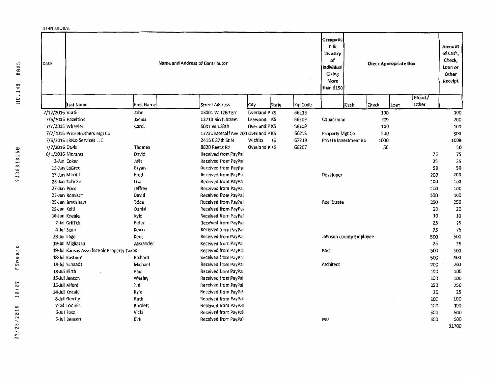| <b>JOHN SKUBAL</b> |                                            |                   |                                    |                       |              |          |                                                                                 |                              |       |       |                  |                                                             |
|--------------------|--------------------------------------------|-------------------|------------------------------------|-----------------------|--------------|----------|---------------------------------------------------------------------------------|------------------------------|-------|-------|------------------|-------------------------------------------------------------|
| Date               |                                            |                   | Name and Address of Contributor    |                       |              |          | Occupatio<br>п&<br>Industry<br>۵f<br>Individual<br>Giving<br>More<br>than \$150 | <b>Check Appropriate Box</b> |       |       |                  | Amount<br>of Cash,<br>Check,<br>Loan or<br>Other<br>Receipt |
|                    | Last Name                                  | <b>First Name</b> | <b>Street Address</b>              | City                  | <b>State</b> | Zip Code |                                                                                 | <b>Cash</b>                  | Check | lloan | Efund/<br> Other |                                                             |
| 7/12/2015 Vrati.   |                                            | John              | 13001 W 126 Terr                   | Overland PKS          |              | 66213    |                                                                                 |                              | 100   |       |                  | 100                                                         |
|                    | 7/6/2015 Hazeltine                         | James             | 12710 Birch Street                 | Leawood KS            |              | 66209    | Councilman                                                                      |                              | 200   |       |                  | 200                                                         |
| 7/7/2016 Wheeler   |                                            | Carol             | 6001 W 128th                       | Overland PKS          |              | 66209    |                                                                                 |                              | 100   |       |                  | 100                                                         |
|                    | 7/7/2016 Price Brothers Mgt Co             |                   | 12721 Metcalf Ave 200 Overland PKS |                       |              | 66213    | Property Mgt Co                                                                 |                              | 500   |       |                  | 500                                                         |
|                    | 7/5/2016 LRICo Services LC                 |                   | 2416 E 37th St N                   | Wichita               | ٦S           | 67219    | Private Investment Ho                                                           |                              | 1000  |       |                  | 1000                                                        |
| 7/7/2016 Davis     |                                            | Thomas            | 8820 Reeds Ro                      | <b>Overland P (S)</b> |              | 66207    |                                                                                 |                              | 50    |       |                  | 50                                                          |
| 6/1/2016 Morantz   |                                            | David             | Received from PayPal               |                       |              |          |                                                                                 |                              |       |       | 75               | 75                                                          |
|                    | 2-Jun Coker                                | Julie             | Received from PayPal               |                       |              |          |                                                                                 |                              |       |       | 25               | 25                                                          |
|                    | 15-Jun LaGree                              | Bryan             | Received from PayPal               |                       |              |          |                                                                                 |                              |       |       | 50               | 50                                                          |
|                    | 27-Jun Merrill                             | Fred              | Recaived from PayPa                |                       |              |          | Developer                                                                       |                              |       |       | 200              | 200                                                         |
|                    | 28-Jun Kuhnke                              | Lisa              | Recaived from PayPa                |                       |              |          |                                                                                 |                              |       |       | 100              | 100                                                         |
| 27-Jun Place       |                                            | Jeffrey           | Received from PayPa.               |                       |              |          |                                                                                 |                              |       |       | 100              | 100                                                         |
|                    | 28-Jun Ramisch                             | David             | Received from PayPal               |                       |              |          |                                                                                 |                              |       |       | 100              | 100                                                         |
|                    | 25-Jun Bradshaw                            | <b>Brice</b>      | Received from PayPal               |                       |              |          | <b>Real Estate</b>                                                              |                              |       |       | 250              | 250                                                         |
| 29-Jun Kelti       |                                            | Daniel            | Received from PayPal               |                       |              |          |                                                                                 |                              |       |       | 20               | 20                                                          |
|                    | 30-Jun Kneale                              | Kyle              | Received from PayPal               |                       |              |          |                                                                                 |                              |       |       | 10               | 10                                                          |
|                    | 2-Jul Griff th                             | Peter             | Received from PayPal               |                       |              |          |                                                                                 |                              |       |       | 25               | 25                                                          |
|                    | 4-Jul Senn                                 | Kevin             | Received from PayPal               |                       |              |          |                                                                                 |                              |       |       | 75               | 75                                                          |
| 23-Jul Lage        |                                            | Kent              | Received from PayPal               |                       |              |          | Johnson county Employee                                                         |                              |       |       | 500              | 500                                                         |
|                    | 19-Jul Migliazzo                           | Alexander         | Received from PayPal               |                       |              |          |                                                                                 |                              |       |       | 25               | 25                                                          |
|                    | 19-Jul Kansas Assn for Fair Property Taxes |                   | Received from PayPal               |                       |              |          | PAC                                                                             |                              |       |       | 500              | 500                                                         |
|                    | 18-Jul Kastner                             | Richard           | Received from PayPal               |                       |              |          |                                                                                 |                              |       |       | 500              | 500                                                         |
|                    | 18-Jul Schaadt                             | Michael           | Received from PayPal               |                       |              |          | Architect                                                                       |                              |       |       | 200              | 200                                                         |
| 18-Jul Hirth       |                                            | Paul              | Received from PayPal               |                       |              |          |                                                                                 |                              |       |       | 100              | 100                                                         |
|                    | 15-Jul Jenson                              | <b>Wesley</b>     | Received from PayPal               |                       |              |          |                                                                                 |                              |       |       | 100              | 100                                                         |
|                    | 15-Jul Alford                              | Jud               | Received from PayPal               |                       |              |          |                                                                                 |                              |       |       | 250              | 250                                                         |
|                    | 14-Jul Kneale                              | Kyle              | Received from PayPal               |                       |              |          |                                                                                 |                              |       |       | 25               | 25                                                          |
|                    | 8-Jul Gerrity                              | Ruth              | Received from PayPal               |                       |              |          |                                                                                 |                              |       |       | 100              | 100                                                         |
|                    | 7-Jul Loomis                               | <b>Burdett</b>    | Received from PayPal               |                       |              |          |                                                                                 |                              |       |       | 100              | 100                                                         |
|                    | 6-Jul Ensz                                 | Vicki             | Received from PayPal               |                       |              |          |                                                                                 |                              |       |       | 500              | 500                                                         |
|                    | 5-Jul Benson                               | Kirk              | Received from PayPal               |                       |              |          | MD                                                                              |                              |       |       | 500              | 500                                                         |
|                    |                                            |                   |                                    |                       |              |          |                                                                                 |                              |       |       |                  | 31700                                                       |

11> (S) (S)  $14.9$ D :z: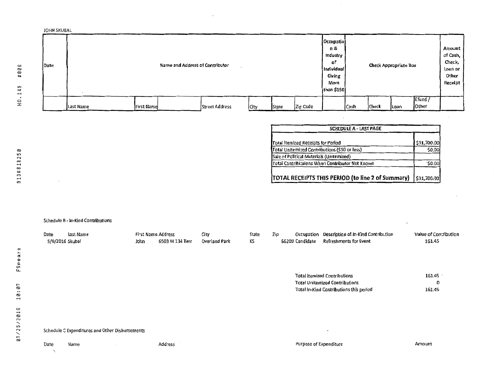

 $\mathcal{A}_k$ 

| Total itemized Receipts for Period              | \$31,700.00   |
|-------------------------------------------------|---------------|
| Total Uniternized Contributions (\$50 or less)  | \$0.00        |
| Sale of Political Materials (Unitemized)        |               |
| Total Cantribituions When Contributor Not Known | $\cdot$ SD.OO |

Schedule B - In-Kind Contributions

| Date    | Last Name                                       |      | First Name Address | City          | State | Zip | Occupation             | Description of In-Kind Contribution     | Value of Contribution |
|---------|-------------------------------------------------|------|--------------------|---------------|-------|-----|------------------------|-----------------------------------------|-----------------------|
|         | 5/9/2016 Skubal                                 | John | 6503 W 134 Terr    | Overland Park | KS    |     | 66209 Candidate        | Refreshments for Event                  | 161.45                |
|         |                                                 |      |                    |               |       |     |                        |                                         |                       |
|         |                                                 |      |                    |               |       |     |                        |                                         |                       |
|         |                                                 |      |                    |               |       |     |                        |                                         |                       |
|         |                                                 |      |                    |               |       |     |                        |                                         | 161.45                |
|         |                                                 |      |                    |               |       |     |                        | <b>Total Itemized Contributions</b>     |                       |
|         |                                                 |      |                    |               |       |     |                        | <b>Total Unitemized Contributions</b>   | 0                     |
|         |                                                 |      |                    |               |       |     |                        | Total In-Kind Contributions this period | 161.45                |
|         |                                                 |      |                    |               |       |     |                        |                                         |                       |
|         |                                                 |      |                    |               |       |     |                        |                                         |                       |
|         |                                                 |      |                    |               |       |     |                        |                                         |                       |
|         |                                                 |      |                    |               |       |     |                        |                                         |                       |
|         |                                                 |      |                    |               |       |     |                        |                                         |                       |
|         | Schedule C Expenditures and Other Disbursements |      |                    |               |       |     |                        | $\bullet$                               |                       |
|         |                                                 |      |                    |               |       |     |                        |                                         |                       |
| Date    | Name                                            |      | Add: ess           |               |       |     | Purpose of Expenditure |                                         | Amount                |
| and the |                                                 |      |                    |               |       |     |                        |                                         |                       |
|         |                                                 |      |                    |               |       |     |                        |                                         |                       |
|         |                                                 |      |                    |               |       |     |                        |                                         |                       |